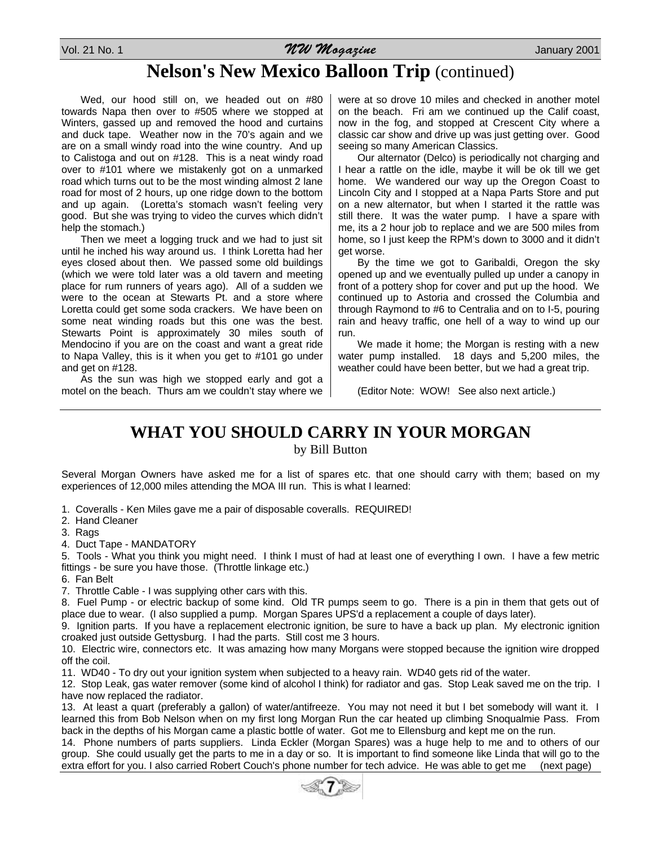Vol. 21 No. 1  $WW$  Magazine  $WW$ ogazine January 2001

## **Nelson's New Mexico Balloon Trip** (continued)

Wed, our hood still on, we headed out on #80 towards Napa then over to #505 where we stopped at Winters, gassed up and removed the hood and curtains and duck tape. Weather now in the 70's again and we are on a small windy road into the wine country. And up to Calistoga and out on #128. This is a neat windy road over to #101 where we mistakenly got on a unmarked road which turns out to be the most winding almost 2 lane road for most of 2 hours, up one ridge down to the bottom and up again. (Loretta's stomach wasn't feeling very good. But she was trying to video the curves which didn't help the stomach.)

Then we meet a logging truck and we had to just sit until he inched his way around us. I think Loretta had her eyes closed about then. We passed some old buildings (which we were told later was a old tavern and meeting place for rum runners of years ago). All of a sudden we were to the ocean at Stewarts Pt. and a store where Loretta could get some soda crackers. We have been on some neat winding roads but this one was the best. Stewarts Point is approximately 30 miles south of Mendocino if you are on the coast and want a great ride to Napa Valley, this is it when you get to #101 go under and get on #128.

As the sun was high we stopped early and got a motel on the beach. Thurs am we couldn't stay where we were at so drove 10 miles and checked in another motel on the beach. Fri am we continued up the Calif coast, now in the fog, and stopped at Crescent City where a classic car show and drive up was just getting over. Good seeing so many American Classics.

Our alternator (Delco) is periodically not charging and I hear a rattle on the idle, maybe it will be ok till we get home. We wandered our way up the Oregon Coast to Lincoln City and I stopped at a Napa Parts Store and put on a new alternator, but when I started it the rattle was still there. It was the water pump. I have a spare with me, its a 2 hour job to replace and we are 500 miles from home, so I just keep the RPM's down to 3000 and it didn't get worse.

By the time we got to Garibaldi, Oregon the sky opened up and we eventually pulled up under a canopy in front of a pottery shop for cover and put up the hood. We continued up to Astoria and crossed the Columbia and through Raymond to #6 to Centralia and on to I-5, pouring rain and heavy traffic, one hell of a way to wind up our run.

We made it home; the Morgan is resting with a new water pump installed. 18 days and 5,200 miles, the weather could have been better, but we had a great trip.

(Editor Note: WOW! See also next article.)

## **WHAT YOU SHOULD CARRY IN YOUR MORGAN**

by Bill Button

Several Morgan Owners have asked me for a list of spares etc. that one should carry with them; based on my experiences of 12,000 miles attending the MOA III run. This is what I learned:

- 1. Coveralls Ken Miles gave me a pair of disposable coveralls. REQUIRED!
- 2. Hand Cleaner
- 3. Rags
- 4. Duct Tape MANDATORY

5. Tools - What you think you might need. I think I must of had at least one of everything I own. I have a few metric fittings - be sure you have those. (Throttle linkage etc.)

- 6. Fan Belt
- 7. Throttle Cable I was supplying other cars with this.

8. Fuel Pump - or electric backup of some kind. Old TR pumps seem to go. There is a pin in them that gets out of place due to wear. (I also supplied a pump. Morgan Spares UPS'd a replacement a couple of days later).

9. Ignition parts. If you have a replacement electronic ignition, be sure to have a back up plan. My electronic ignition croaked just outside Gettysburg. I had the parts. Still cost me 3 hours.

10. Electric wire, connectors etc. It was amazing how many Morgans were stopped because the ignition wire dropped off the coil.

11. WD40 - To dry out your ignition system when subjected to a heavy rain. WD40 gets rid of the water.

12. Stop Leak, gas water remover (some kind of alcohol I think) for radiator and gas. Stop Leak saved me on the trip. I have now replaced the radiator.

13. At least a quart (preferably a gallon) of water/antifreeze. You may not need it but I bet somebody will want it. I learned this from Bob Nelson when on my first long Morgan Run the car heated up climbing Snoqualmie Pass. From back in the depths of his Morgan came a plastic bottle of water. Got me to Ellensburg and kept me on the run.

14. Phone numbers of parts suppliers. Linda Eckler (Morgan Spares) was a huge help to me and to others of our group. She could usually get the parts to me in a day or so. It is important to find someone like Linda that will go to the extra effort for you. I also carried Robert Couch's phone number for tech advice. He was able to get me (next page)